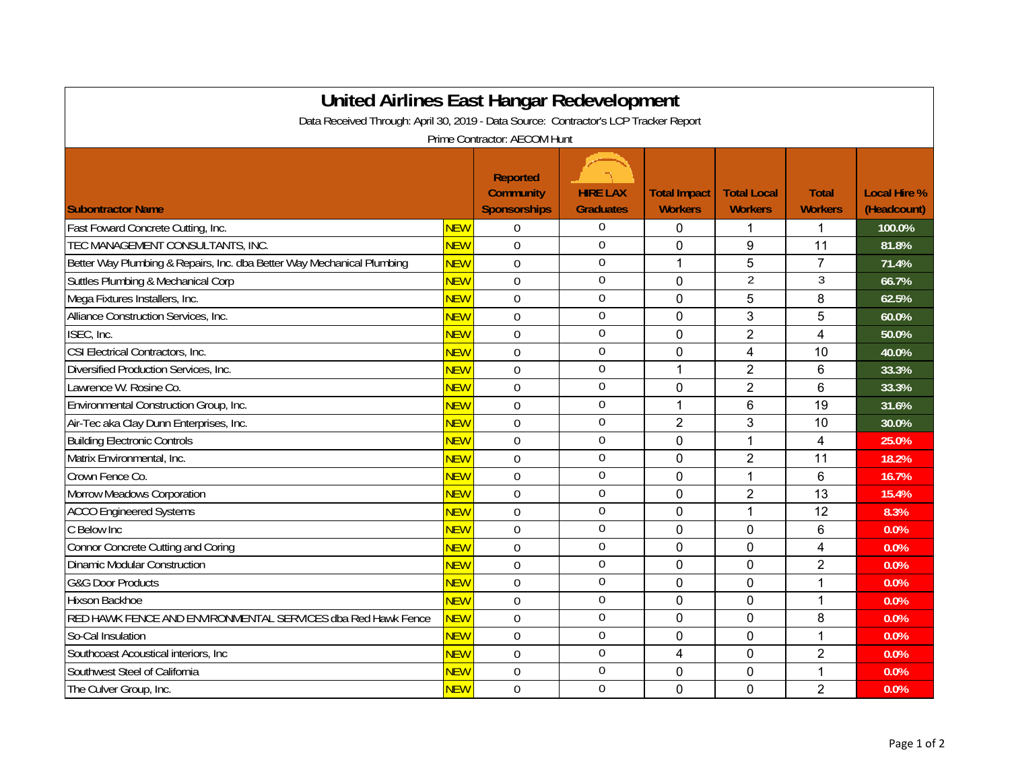| <b>United Airlines East Hangar Redevelopment</b><br>Data Received Through: April 30, 2019 - Data Source: Contractor's LCP Tracker Report |            |                                                            |                                     |                                       |                                      |                                |                                    |  |  |  |  |  |
|------------------------------------------------------------------------------------------------------------------------------------------|------------|------------------------------------------------------------|-------------------------------------|---------------------------------------|--------------------------------------|--------------------------------|------------------------------------|--|--|--|--|--|
| Prime Contractor: AECOM Hunt                                                                                                             |            |                                                            |                                     |                                       |                                      |                                |                                    |  |  |  |  |  |
| <b>Subontractor Name</b>                                                                                                                 |            | <b>Reported</b><br><b>Community</b><br><b>Sponsorships</b> | <b>HIRE LAX</b><br><b>Graduates</b> | <b>Total Impact</b><br><b>Workers</b> | <b>Total Local</b><br><b>Workers</b> | <b>Total</b><br><b>Workers</b> | <b>Local Hire %</b><br>(Headcount) |  |  |  |  |  |
| Fast Foward Concrete Cutting, Inc.                                                                                                       | <b>NEW</b> | $\overline{0}$                                             | $\boldsymbol{0}$                    | $\mathbf{0}$                          | 1                                    | 1                              | 100.0%                             |  |  |  |  |  |
| TEC MANAGEMENT CONSULTANTS, INC.                                                                                                         | <b>NEW</b> | $\mathbf 0$                                                | $\boldsymbol{0}$                    | 0                                     | 9                                    | 11                             | 81.8%                              |  |  |  |  |  |
| Better Way Plumbing & Repairs, Inc. dba Better Way Mechanical Plumbing                                                                   | <b>NEW</b> | $\Omega$                                                   | $\boldsymbol{0}$                    | 1                                     | 5                                    | $\overline{7}$                 | 71.4%                              |  |  |  |  |  |
| Suttles Plumbing & Mechanical Corp                                                                                                       | <b>NEW</b> | $\overline{0}$                                             | $\boldsymbol{0}$                    | $\overline{0}$                        | $\overline{2}$                       | 3                              | 66.7%                              |  |  |  |  |  |
| Mega Fixtures Installers, Inc.                                                                                                           | <b>NEW</b> | $\mathbf 0$                                                | $\mathbf 0$                         | 0                                     | 5                                    | 8                              | 62.5%                              |  |  |  |  |  |
| Alliance Construction Services, Inc.                                                                                                     | <b>NEW</b> | $\mathbf 0$                                                | $\mathbf 0$                         | 0                                     | 3                                    | 5                              | 60.0%                              |  |  |  |  |  |
| ISEC, Inc.                                                                                                                               | <b>NEW</b> | $\Omega$                                                   | $\boldsymbol{0}$                    | $\Omega$                              | $\overline{2}$                       | $\overline{4}$                 | 50.0%                              |  |  |  |  |  |
| CSI Electrical Contractors, Inc.                                                                                                         | <b>NEW</b> | $\mathbf 0$                                                | $\boldsymbol{0}$                    | 0                                     | 4                                    | 10                             | 40.0%                              |  |  |  |  |  |
| Diversified Production Services, Inc.                                                                                                    | <b>NEW</b> | $\mathbf 0$                                                | $\boldsymbol{0}$                    | 1                                     | $\overline{2}$                       | 6                              | 33.3%                              |  |  |  |  |  |
| Lawrence W. Rosine Co.                                                                                                                   | <b>NEW</b> | $\overline{0}$                                             | $\mathbf 0$                         | 0                                     | $\overline{2}$                       | 6                              | 33.3%                              |  |  |  |  |  |
| Environmental Construction Group, Inc.                                                                                                   | <b>NEW</b> | $\Omega$                                                   | $\boldsymbol{0}$                    | $\mathbf{1}$                          | $6\phantom{1}$                       | 19                             | 31.6%                              |  |  |  |  |  |
| Air-Tec aka Clay Dunn Enterprises, Inc.                                                                                                  | <b>NEW</b> | $\mathbf 0$                                                | $\boldsymbol{0}$                    | $\overline{2}$                        | 3                                    | 10                             | 30.0%                              |  |  |  |  |  |
| <b>Building Electronic Controls</b>                                                                                                      | <b>NEW</b> | $\overline{0}$                                             | $\boldsymbol{0}$                    | $\Omega$                              |                                      | 4                              | 25.0%                              |  |  |  |  |  |
| Matrix Environmental, Inc.                                                                                                               | <b>NEW</b> | $\Omega$                                                   | $\boldsymbol{0}$                    | $\Omega$                              | $\overline{2}$                       | 11                             | 18.2%                              |  |  |  |  |  |
| Crown Fence Co.                                                                                                                          | <b>NEW</b> | $\Omega$                                                   | $\boldsymbol{0}$                    | $\mathbf{0}$                          | 1                                    | 6                              | 16.7%                              |  |  |  |  |  |
| Morrow Meadows Corporation                                                                                                               | <b>NEW</b> | $\overline{0}$                                             | $\boldsymbol{0}$                    | 0                                     | $\overline{2}$                       | 13                             | 15.4%                              |  |  |  |  |  |
| <b>ACCO Engineered Systems</b>                                                                                                           | <b>NEW</b> | $\Omega$                                                   | $\boldsymbol{0}$                    | 0                                     |                                      | 12                             | 8.3%                               |  |  |  |  |  |
| C Below Inc                                                                                                                              | <b>NEW</b> | $\Omega$                                                   | $\boldsymbol{0}$                    | 0                                     | $\mathbf{0}$                         | 6                              | 0.0%                               |  |  |  |  |  |
| <b>Connor Concrete Cutting and Coring</b>                                                                                                | <b>NEW</b> | $\mathbf 0$                                                | $\boldsymbol{0}$                    | 0                                     | $\mathbf 0$                          | $\overline{\mathbf{4}}$        | 0.0%                               |  |  |  |  |  |
| <b>Dinamic Modular Construction</b>                                                                                                      | <b>NEW</b> | $\overline{0}$                                             | $\boldsymbol{0}$                    | 0                                     | $\mathbf 0$                          | $\overline{2}$                 | 0.0%                               |  |  |  |  |  |
| <b>G&amp;G Door Products</b>                                                                                                             | <b>NEW</b> | $\Omega$                                                   | $\boldsymbol{0}$                    | 0                                     | $\mathbf 0$                          | 1                              | 0.0%                               |  |  |  |  |  |
| Hixson Backhoe                                                                                                                           | <b>NEW</b> | $\Omega$                                                   | $\boldsymbol{0}$                    | 0                                     | $\mathbf 0$                          | $\mathbf 1$                    | 0.0%                               |  |  |  |  |  |
| RED HAWK FENCE AND ENVIRONMENTAL SERVICES dba Red Hawk Fence                                                                             | <b>NEW</b> | $\overline{0}$                                             | $\boldsymbol{0}$                    | 0                                     | $\mathbf 0$                          | 8                              | 0.0%                               |  |  |  |  |  |
| So-Cal Insulation                                                                                                                        | <b>NEW</b> | $\overline{0}$                                             | $\boldsymbol{0}$                    | 0                                     | $\overline{0}$                       | 1                              | 0.0%                               |  |  |  |  |  |
| Southcoast Acoustical interiors, Inc.                                                                                                    | <b>NEW</b> | $\Omega$                                                   | $\boldsymbol{0}$                    | 4                                     | $\mathbf 0$                          | $\overline{2}$                 | 0.0%                               |  |  |  |  |  |
| Southwest Steel of California                                                                                                            | <b>NEW</b> | $\overline{0}$                                             | $\boldsymbol{0}$                    | 0                                     | $\mathbf 0$                          | 1                              | 0.0%                               |  |  |  |  |  |
| The Culver Group, Inc.                                                                                                                   | <b>NEW</b> | $\overline{0}$                                             | $\boldsymbol{0}$                    | 0                                     | $\overline{0}$                       | $\overline{2}$                 | 0.0%                               |  |  |  |  |  |